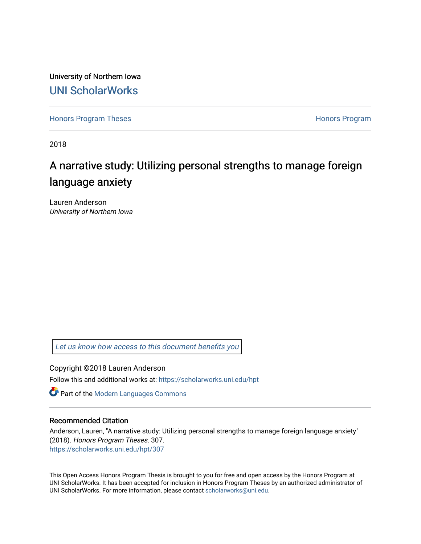University of Northern Iowa [UNI ScholarWorks](https://scholarworks.uni.edu/) 

[Honors Program Theses](https://scholarworks.uni.edu/hpt) **Honors Program** Honors Program

2018

# A narrative study: Utilizing personal strengths to manage foreign language anxiety

Lauren Anderson University of Northern Iowa

[Let us know how access to this document benefits you](https://scholarworks.uni.edu/feedback_form.html) 

Copyright ©2018 Lauren Anderson

Follow this and additional works at: [https://scholarworks.uni.edu/hpt](https://scholarworks.uni.edu/hpt?utm_source=scholarworks.uni.edu%2Fhpt%2F307&utm_medium=PDF&utm_campaign=PDFCoverPages) 

**Part of the Modern Languages Commons** 

#### Recommended Citation

Anderson, Lauren, "A narrative study: Utilizing personal strengths to manage foreign language anxiety" (2018). Honors Program Theses. 307. [https://scholarworks.uni.edu/hpt/307](https://scholarworks.uni.edu/hpt/307?utm_source=scholarworks.uni.edu%2Fhpt%2F307&utm_medium=PDF&utm_campaign=PDFCoverPages) 

This Open Access Honors Program Thesis is brought to you for free and open access by the Honors Program at UNI ScholarWorks. It has been accepted for inclusion in Honors Program Theses by an authorized administrator of UNI ScholarWorks. For more information, please contact [scholarworks@uni.edu.](mailto:scholarworks@uni.edu)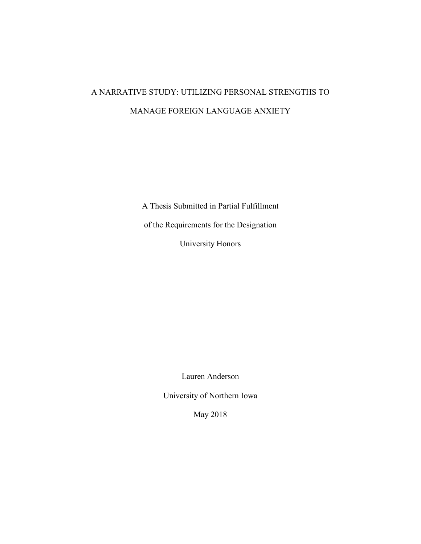# A NARRATIVE STUDY: UTILIZING PERSONAL STRENGTHS TO MANAGE FOREIGN LANGUAGE ANXIETY

A Thesis Submitted in Partial Fulfillment of the Requirements for the Designation University Honors

Lauren Anderson

University of Northern Iowa

May 2018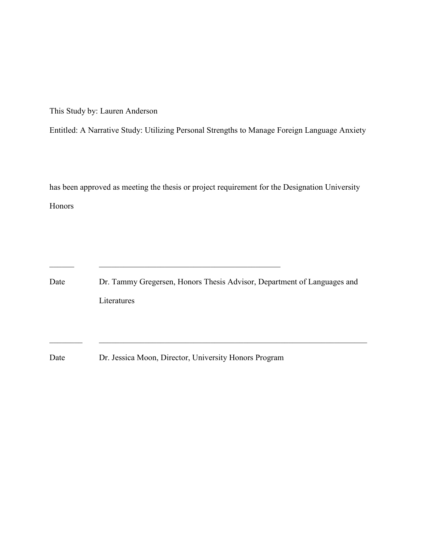This Study by: Lauren Anderson

Entitled: A Narrative Study: Utilizing Personal Strengths to Manage Foreign Language Anxiety

has been approved as meeting the thesis or project requirement for the Designation University Honors

Date Dr. Tammy Gregersen, Honors Thesis Advisor, Department of Languages and Literatures

Date Dr. Jessica Moon, Director, University Honors Program

\_\_\_\_\_\_ \_\_\_\_\_\_\_\_\_\_\_\_\_\_\_\_\_\_\_\_\_\_\_\_\_\_\_\_\_\_\_\_\_\_\_\_\_\_\_\_\_\_\_\_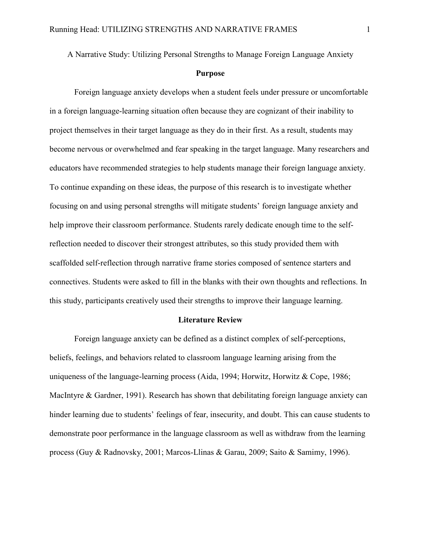A Narrative Study: Utilizing Personal Strengths to Manage Foreign Language Anxiety

#### **Purpose**

Foreign language anxiety develops when a student feels under pressure or uncomfortable in a foreign language-learning situation often because they are cognizant of their inability to project themselves in their target language as they do in their first. As a result, students may become nervous or overwhelmed and fear speaking in the target language. Many researchers and educators have recommended strategies to help students manage their foreign language anxiety. To continue expanding on these ideas, the purpose of this research is to investigate whether focusing on and using personal strengths will mitigate students' foreign language anxiety and help improve their classroom performance. Students rarely dedicate enough time to the selfreflection needed to discover their strongest attributes, so this study provided them with scaffolded self-reflection through narrative frame stories composed of sentence starters and connectives. Students were asked to fill in the blanks with their own thoughts and reflections. In this study, participants creatively used their strengths to improve their language learning.

#### **Literature Review**

Foreign language anxiety can be defined as a distinct complex of self-perceptions, beliefs, feelings, and behaviors related to classroom language learning arising from the uniqueness of the language-learning process (Aida, 1994; Horwitz, Horwitz & Cope, 1986; MacIntyre & Gardner, 1991). Research has shown that debilitating foreign language anxiety can hinder learning due to students' feelings of fear, insecurity, and doubt. This can cause students to demonstrate poor performance in the language classroom as well as withdraw from the learning process (Guy & Radnovsky, 2001; Marcos-Llinas & Garau, 2009; Saito & Samimy, 1996).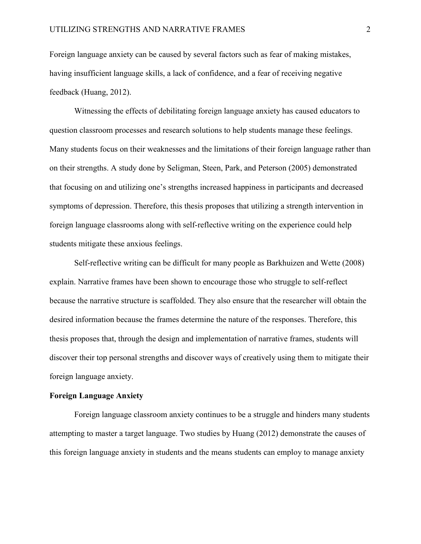Foreign language anxiety can be caused by several factors such as fear of making mistakes, having insufficient language skills, a lack of confidence, and a fear of receiving negative feedback (Huang, 2012).

Witnessing the effects of debilitating foreign language anxiety has caused educators to question classroom processes and research solutions to help students manage these feelings. Many students focus on their weaknesses and the limitations of their foreign language rather than on their strengths. A study done by Seligman, Steen, Park, and Peterson (2005) demonstrated that focusing on and utilizing one's strengths increased happiness in participants and decreased symptoms of depression. Therefore, this thesis proposes that utilizing a strength intervention in foreign language classrooms along with self-reflective writing on the experience could help students mitigate these anxious feelings.

Self-reflective writing can be difficult for many people as Barkhuizen and Wette (2008) explain. Narrative frames have been shown to encourage those who struggle to self-reflect because the narrative structure is scaffolded. They also ensure that the researcher will obtain the desired information because the frames determine the nature of the responses. Therefore, this thesis proposes that, through the design and implementation of narrative frames, students will discover their top personal strengths and discover ways of creatively using them to mitigate their foreign language anxiety.

#### **Foreign Language Anxiety**

Foreign language classroom anxiety continues to be a struggle and hinders many students attempting to master a target language. Two studies by Huang (2012) demonstrate the causes of this foreign language anxiety in students and the means students can employ to manage anxiety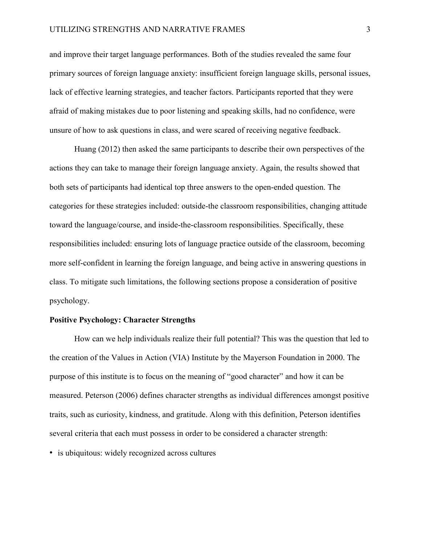and improve their target language performances. Both of the studies revealed the same four primary sources of foreign language anxiety: insufficient foreign language skills, personal issues, lack of effective learning strategies, and teacher factors. Participants reported that they were afraid of making mistakes due to poor listening and speaking skills, had no confidence, were unsure of how to ask questions in class, and were scared of receiving negative feedback.

Huang (2012) then asked the same participants to describe their own perspectives of the actions they can take to manage their foreign language anxiety. Again, the results showed that both sets of participants had identical top three answers to the open-ended question. The categories for these strategies included: outside-the classroom responsibilities, changing attitude toward the language/course, and inside-the-classroom responsibilities. Specifically, these responsibilities included: ensuring lots of language practice outside of the classroom, becoming more self-confident in learning the foreign language, and being active in answering questions in class. To mitigate such limitations, the following sections propose a consideration of positive psychology.

#### **Positive Psychology: Character Strengths**

How can we help individuals realize their full potential? This was the question that led to the creation of the Values in Action (VIA) Institute by the Mayerson Foundation in 2000. The purpose of this institute is to focus on the meaning of "good character" and how it can be measured. Peterson (2006) defines character strengths as individual differences amongst positive traits, such as curiosity, kindness, and gratitude. Along with this definition, Peterson identifies several criteria that each must possess in order to be considered a character strength:

• is ubiquitous: widely recognized across cultures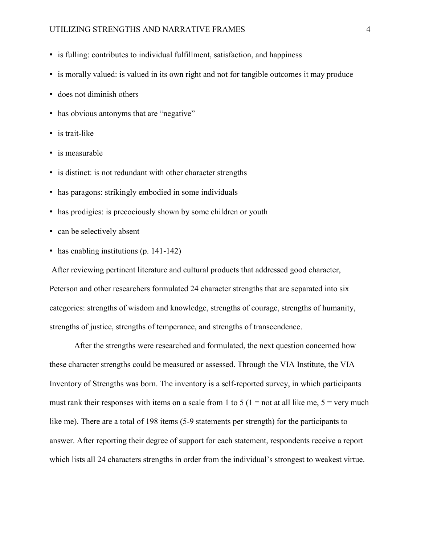#### UTILIZING STRENGTHS AND NARRATIVE FRAMES 4

- is fulling: contributes to individual fulfillment, satisfaction, and happiness
- is morally valued: is valued in its own right and not for tangible outcomes it may produce
- does not diminish others
- has obvious antonyms that are "negative"
- is trait-like
- is measurable
- is distinct: is not redundant with other character strengths
- has paragons: strikingly embodied in some individuals
- has prodigies: is precociously shown by some children or youth
- can be selectively absent
- has enabling institutions (p. 141-142)

After reviewing pertinent literature and cultural products that addressed good character, Peterson and other researchers formulated 24 character strengths that are separated into six categories: strengths of wisdom and knowledge, strengths of courage, strengths of humanity, strengths of justice, strengths of temperance, and strengths of transcendence.

After the strengths were researched and formulated, the next question concerned how these character strengths could be measured or assessed. Through the VIA Institute, the VIA Inventory of Strengths was born. The inventory is a self-reported survey, in which participants must rank their responses with items on a scale from 1 to 5 ( $1 =$  not at all like me,  $5 =$  very much like me). There are a total of 198 items (5-9 statements per strength) for the participants to answer. After reporting their degree of support for each statement, respondents receive a report which lists all 24 characters strengths in order from the individual's strongest to weakest virtue.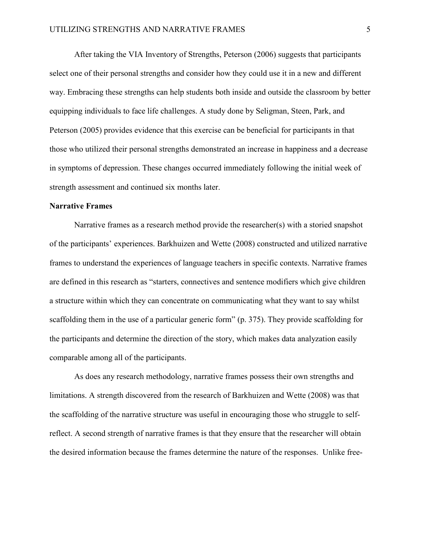After taking the VIA Inventory of Strengths, Peterson (2006) suggests that participants select one of their personal strengths and consider how they could use it in a new and different way. Embracing these strengths can help students both inside and outside the classroom by better equipping individuals to face life challenges. A study done by Seligman, Steen, Park, and Peterson (2005) provides evidence that this exercise can be beneficial for participants in that those who utilized their personal strengths demonstrated an increase in happiness and a decrease in symptoms of depression. These changes occurred immediately following the initial week of strength assessment and continued six months later.

#### **Narrative Frames**

Narrative frames as a research method provide the researcher(s) with a storied snapshot of the participants' experiences. Barkhuizen and Wette (2008) constructed and utilized narrative frames to understand the experiences of language teachers in specific contexts. Narrative frames are defined in this research as "starters, connectives and sentence modifiers which give children a structure within which they can concentrate on communicating what they want to say whilst scaffolding them in the use of a particular generic form" (p. 375). They provide scaffolding for the participants and determine the direction of the story, which makes data analyzation easily comparable among all of the participants.

As does any research methodology, narrative frames possess their own strengths and limitations. A strength discovered from the research of Barkhuizen and Wette (2008) was that the scaffolding of the narrative structure was useful in encouraging those who struggle to selfreflect. A second strength of narrative frames is that they ensure that the researcher will obtain the desired information because the frames determine the nature of the responses. Unlike free-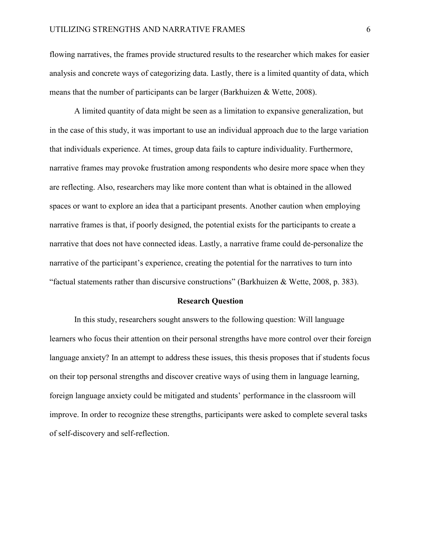flowing narratives, the frames provide structured results to the researcher which makes for easier analysis and concrete ways of categorizing data. Lastly, there is a limited quantity of data, which means that the number of participants can be larger (Barkhuizen & Wette, 2008).

A limited quantity of data might be seen as a limitation to expansive generalization, but in the case of this study, it was important to use an individual approach due to the large variation that individuals experience. At times, group data fails to capture individuality. Furthermore, narrative frames may provoke frustration among respondents who desire more space when they are reflecting. Also, researchers may like more content than what is obtained in the allowed spaces or want to explore an idea that a participant presents. Another caution when employing narrative frames is that, if poorly designed, the potential exists for the participants to create a narrative that does not have connected ideas. Lastly, a narrative frame could de-personalize the narrative of the participant's experience, creating the potential for the narratives to turn into "factual statements rather than discursive constructions" (Barkhuizen & Wette, 2008, p. 383).

#### **Research Question**

In this study, researchers sought answers to the following question: Will language learners who focus their attention on their personal strengths have more control over their foreign language anxiety? In an attempt to address these issues, this thesis proposes that if students focus on their top personal strengths and discover creative ways of using them in language learning, foreign language anxiety could be mitigated and students' performance in the classroom will improve. In order to recognize these strengths, participants were asked to complete several tasks of self-discovery and self-reflection.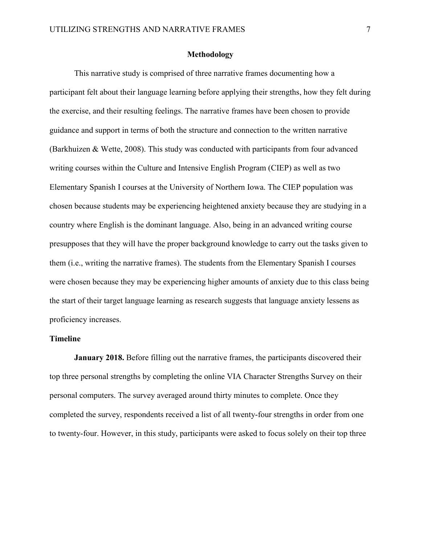#### **Methodology**

This narrative study is comprised of three narrative frames documenting how a participant felt about their language learning before applying their strengths, how they felt during the exercise, and their resulting feelings. The narrative frames have been chosen to provide guidance and support in terms of both the structure and connection to the written narrative (Barkhuizen & Wette, 2008). This study was conducted with participants from four advanced writing courses within the Culture and Intensive English Program (CIEP) as well as two Elementary Spanish I courses at the University of Northern Iowa. The CIEP population was chosen because students may be experiencing heightened anxiety because they are studying in a country where English is the dominant language. Also, being in an advanced writing course presupposes that they will have the proper background knowledge to carry out the tasks given to them (i.e., writing the narrative frames). The students from the Elementary Spanish I courses were chosen because they may be experiencing higher amounts of anxiety due to this class being the start of their target language learning as research suggests that language anxiety lessens as proficiency increases.

#### **Timeline**

**January 2018.** Before filling out the narrative frames, the participants discovered their top three personal strengths by completing the online VIA Character Strengths Survey on their personal computers. The survey averaged around thirty minutes to complete. Once they completed the survey, respondents received a list of all twenty-four strengths in order from one to twenty-four. However, in this study, participants were asked to focus solely on their top three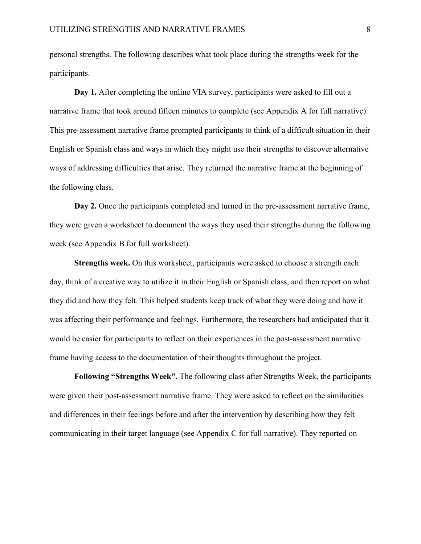personal strengths. The following describes what took place during the strengths week for the participants.

**Day 1.** After completing the online VIA survey, participants were asked to fill out a narrative frame that took around fifteen minutes to complete (see Appendix A for full narrative). This pre-assessment narrative frame prompted participants to think of a difficult situation in their English or Spanish class and ways in which they might use their strengths to discover alternative ways of addressing difficulties that arise. They returned the narrative frame at the beginning of the following class.

**Day 2.** Once the participants completed and turned in the pre-assessment narrative frame, they were given a worksheet to document the ways they used their strengths during the following week (see Appendix B for full worksheet).

**Strengths week.** On this worksheet, participants were asked to choose a strength each day, think of a creative way to utilize it in their English or Spanish class, and then report on what they did and how they felt. This helped students keep track of what they were doing and how it was affecting their performance and feelings. Furthermore, the researchers had anticipated that it would be easier for participants to reflect on their experiences in the post-assessment narrative frame having access to the documentation of their thoughts throughout the project.

**Following "Strengths Week".** The following class after Strengths Week, the participants were given their post-assessment narrative frame. They were asked to reflect on the similarities and differences in their feelings before and after the intervention by describing how they felt communicating in their target language (see Appendix C for full narrative). They reported on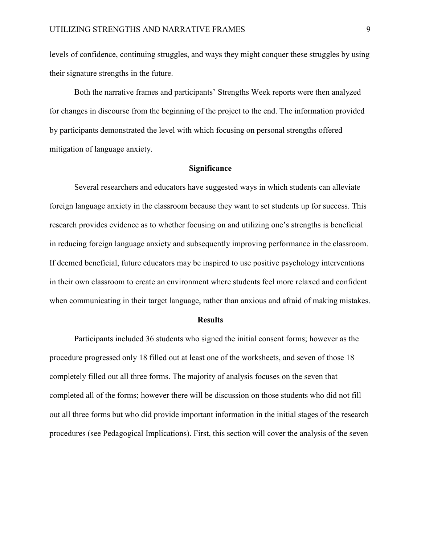levels of confidence, continuing struggles, and ways they might conquer these struggles by using their signature strengths in the future.

Both the narrative frames and participants' Strengths Week reports were then analyzed for changes in discourse from the beginning of the project to the end. The information provided by participants demonstrated the level with which focusing on personal strengths offered mitigation of language anxiety.

#### **Significance**

Several researchers and educators have suggested ways in which students can alleviate foreign language anxiety in the classroom because they want to set students up for success. This research provides evidence as to whether focusing on and utilizing one's strengths is beneficial in reducing foreign language anxiety and subsequently improving performance in the classroom. If deemed beneficial, future educators may be inspired to use positive psychology interventions in their own classroom to create an environment where students feel more relaxed and confident when communicating in their target language, rather than anxious and afraid of making mistakes.

#### **Results**

Participants included 36 students who signed the initial consent forms; however as the procedure progressed only 18 filled out at least one of the worksheets, and seven of those 18 completely filled out all three forms. The majority of analysis focuses on the seven that completed all of the forms; however there will be discussion on those students who did not fill out all three forms but who did provide important information in the initial stages of the research procedures (see Pedagogical Implications). First, this section will cover the analysis of the seven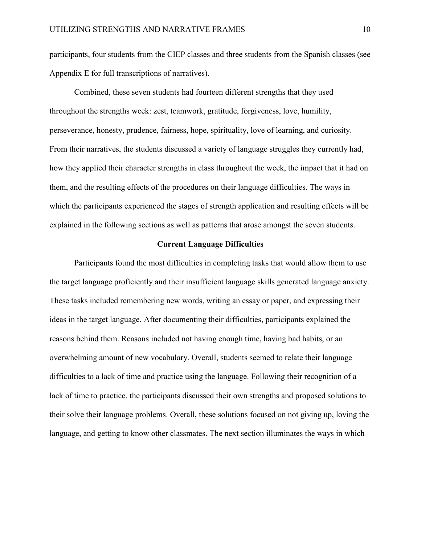participants, four students from the CIEP classes and three students from the Spanish classes (see Appendix E for full transcriptions of narratives).

Combined, these seven students had fourteen different strengths that they used throughout the strengths week: zest, teamwork, gratitude, forgiveness, love, humility, perseverance, honesty, prudence, fairness, hope, spirituality, love of learning, and curiosity. From their narratives, the students discussed a variety of language struggles they currently had, how they applied their character strengths in class throughout the week, the impact that it had on them, and the resulting effects of the procedures on their language difficulties. The ways in which the participants experienced the stages of strength application and resulting effects will be explained in the following sections as well as patterns that arose amongst the seven students.

#### **Current Language Difficulties**

Participants found the most difficulties in completing tasks that would allow them to use the target language proficiently and their insufficient language skills generated language anxiety. These tasks included remembering new words, writing an essay or paper, and expressing their ideas in the target language. After documenting their difficulties, participants explained the reasons behind them. Reasons included not having enough time, having bad habits, or an overwhelming amount of new vocabulary. Overall, students seemed to relate their language difficulties to a lack of time and practice using the language. Following their recognition of a lack of time to practice, the participants discussed their own strengths and proposed solutions to their solve their language problems. Overall, these solutions focused on not giving up, loving the language, and getting to know other classmates. The next section illuminates the ways in which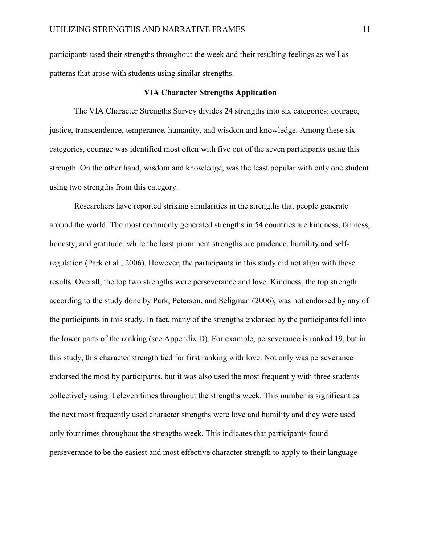participants used their strengths throughout the week and their resulting feelings as well as patterns that arose with students using similar strengths.

#### **VIA Character Strengths Application**

The VIA Character Strengths Survey divides 24 strengths into six categories: courage, justice, transcendence, temperance, humanity, and wisdom and knowledge. Among these six categories, courage was identified most often with five out of the seven participants using this strength. On the other hand, wisdom and knowledge, was the least popular with only one student using two strengths from this category.

Researchers have reported striking similarities in the strengths that people generate around the world. The most commonly generated strengths in 54 countries are kindness, fairness, honesty, and gratitude, while the least prominent strengths are prudence, humility and selfregulation (Park et al., 2006). However, the participants in this study did not align with these results. Overall, the top two strengths were perseverance and love. Kindness, the top strength according to the study done by Park, Peterson, and Seligman (2006), was not endorsed by any of the participants in this study. In fact, many of the strengths endorsed by the participants fell into the lower parts of the ranking (see Appendix D). For example, perseverance is ranked 19, but in this study, this character strength tied for first ranking with love. Not only was perseverance endorsed the most by participants, but it was also used the most frequently with three students collectively using it eleven times throughout the strengths week. This number is significant as the next most frequently used character strengths were love and humility and they were used only four times throughout the strengths week. This indicates that participants found perseverance to be the easiest and most effective character strength to apply to their language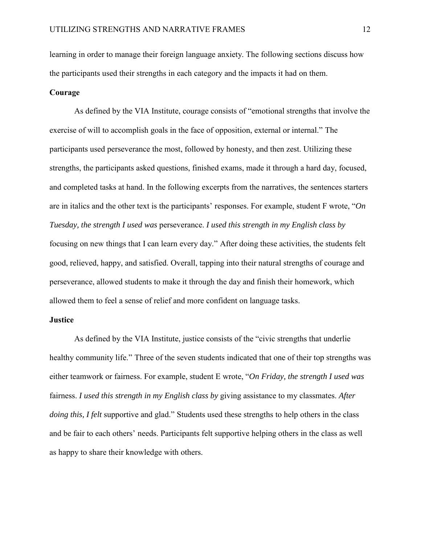learning in order to manage their foreign language anxiety. The following sections discuss how the participants used their strengths in each category and the impacts it had on them.

#### **Courage**

As defined by the VIA Institute, courage consists of "emotional strengths that involve the exercise of will to accomplish goals in the face of opposition, external or internal." The participants used perseverance the most, followed by honesty, and then zest. Utilizing these strengths, the participants asked questions, finished exams, made it through a hard day, focused, and completed tasks at hand. In the following excerpts from the narratives, the sentences starters are in italics and the other text is the participants' responses. For example, student F wrote, "*On Tuesday, the strength I used was* perseverance. *I used this strength in my English class by* focusing on new things that I can learn every day." After doing these activities, the students felt good, relieved, happy, and satisfied. Overall, tapping into their natural strengths of courage and perseverance, allowed students to make it through the day and finish their homework, which allowed them to feel a sense of relief and more confident on language tasks.

#### **Justice**

As defined by the VIA Institute, justice consists of the "civic strengths that underlie healthy community life." Three of the seven students indicated that one of their top strengths was either teamwork or fairness. For example, student E wrote, "*On Friday, the strength I used was* fairness. *I used this strength in my English class by* giving assistance to my classmates. *After doing this, I felt* supportive and glad." Students used these strengths to help others in the class and be fair to each others' needs. Participants felt supportive helping others in the class as well as happy to share their knowledge with others.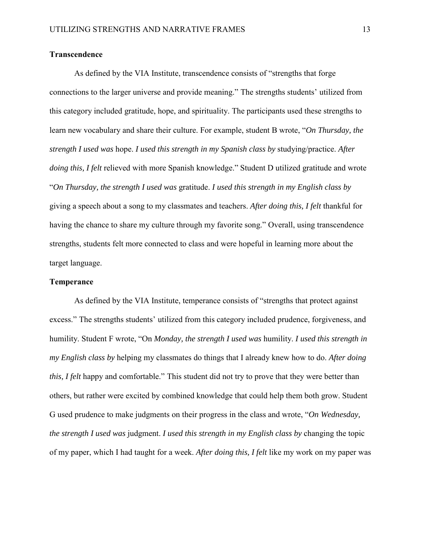#### **Transcendence**

As defined by the VIA Institute, transcendence consists of "strengths that forge connections to the larger universe and provide meaning." The strengths students' utilized from this category included gratitude, hope, and spirituality. The participants used these strengths to learn new vocabulary and share their culture. For example, student B wrote, "*On Thursday, the strength I used was* hope. *I used this strength in my Spanish class by* studying/practice. *After doing this, I felt* relieved with more Spanish knowledge." Student D utilized gratitude and wrote "*On Thursday, the strength I used was* gratitude. *I used this strength in my English class by* giving a speech about a song to my classmates and teachers. *After doing this, I felt* thankful for having the chance to share my culture through my favorite song." Overall, using transcendence strengths, students felt more connected to class and were hopeful in learning more about the target language.

#### **Temperance**

As defined by the VIA Institute, temperance consists of "strengths that protect against excess." The strengths students' utilized from this category included prudence, forgiveness, and humility. Student F wrote, "On *Monday, the strength I used was* humility. *I used this strength in my English class by* helping my classmates do things that I already knew how to do. *After doing this, I felt* happy and comfortable." This student did not try to prove that they were better than others, but rather were excited by combined knowledge that could help them both grow. Student G used prudence to make judgments on their progress in the class and wrote, "*On Wednesday, the strength I used was* judgment. *I used this strength in my English class by* changing the topic of my paper, which I had taught for a week. *After doing this, I felt* like my work on my paper was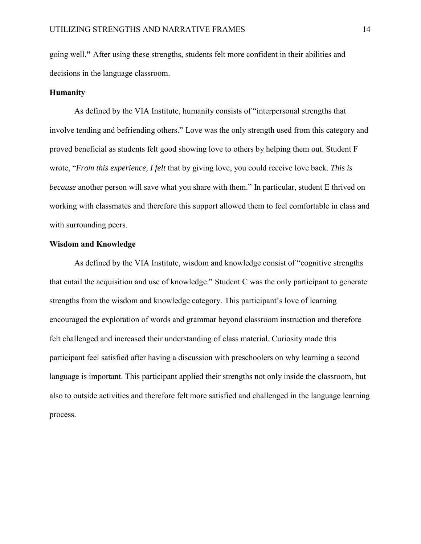going well.**"** After using these strengths, students felt more confident in their abilities and decisions in the language classroom.

#### **Humanity**

As defined by the VIA Institute, humanity consists of "interpersonal strengths that involve tending and befriending others." Love was the only strength used from this category and proved beneficial as students felt good showing love to others by helping them out. Student F wrote, "*From this experience, I felt* that by giving love, you could receive love back. *This is because* another person will save what you share with them." In particular, student E thrived on working with classmates and therefore this support allowed them to feel comfortable in class and with surrounding peers.

#### **Wisdom and Knowledge**

As defined by the VIA Institute, wisdom and knowledge consist of "cognitive strengths that entail the acquisition and use of knowledge." Student C was the only participant to generate strengths from the wisdom and knowledge category. This participant's love of learning encouraged the exploration of words and grammar beyond classroom instruction and therefore felt challenged and increased their understanding of class material. Curiosity made this participant feel satisfied after having a discussion with preschoolers on why learning a second language is important. This participant applied their strengths not only inside the classroom, but also to outside activities and therefore felt more satisfied and challenged in the language learning process.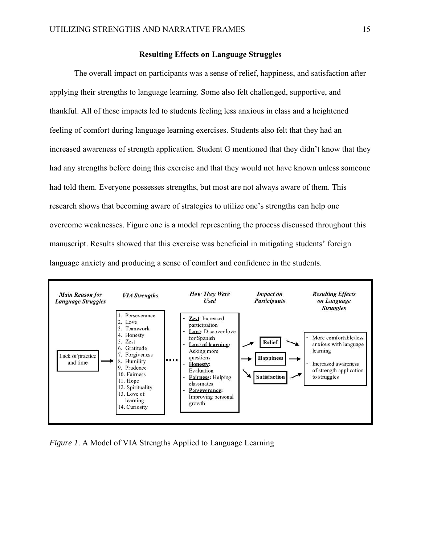#### **Resulting Effects on Language Struggles**

The overall impact on participants was a sense of relief, happiness, and satisfaction after applying their strengths to language learning. Some also felt challenged, supportive, and thankful. All of these impacts led to students feeling less anxious in class and a heightened feeling of comfort during language learning exercises. Students also felt that they had an increased awareness of strength application. Student G mentioned that they didn't know that they had any strengths before doing this exercise and that they would not have known unless someone had told them. Everyone possesses strengths, but most are not always aware of them. This research shows that becoming aware of strategies to utilize one's strengths can help one overcome weaknesses. Figure one is a model representing the process discussed throughout this manuscript. Results showed that this exercise was beneficial in mitigating students' foreign language anxiety and producing a sense of comfort and confidence in the students.



*Figure 1*. A Model of VIA Strengths Applied to Language Learning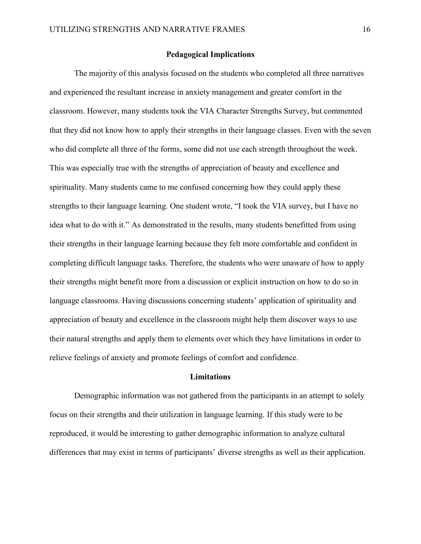#### **Pedagogical Implications**

The majority of this analysis focused on the students who completed all three narratives and experienced the resultant increase in anxiety management and greater comfort in the classroom. However, many students took the VIA Character Strengths Survey, but commented that they did not know how to apply their strengths in their language classes. Even with the seven who did complete all three of the forms, some did not use each strength throughout the week. This was especially true with the strengths of appreciation of beauty and excellence and spirituality. Many students came to me confused concerning how they could apply these strengths to their language learning. One student wrote, "I took the VIA survey, but I have no idea what to do with it." As demonstrated in the results, many students benefitted from using their strengths in their language learning because they felt more comfortable and confident in completing difficult language tasks. Therefore, the students who were unaware of how to apply their strengths might benefit more from a discussion or explicit instruction on how to do so in language classrooms. Having discussions concerning students' application of spirituality and appreciation of beauty and excellence in the classroom might help them discover ways to use their natural strengths and apply them to elements over which they have limitations in order to relieve feelings of anxiety and promote feelings of comfort and confidence.

#### **Limitations**

Demographic information was not gathered from the participants in an attempt to solely focus on their strengths and their utilization in language learning. If this study were to be reproduced, it would be interesting to gather demographic information to analyze cultural differences that may exist in terms of participants' diverse strengths as well as their application.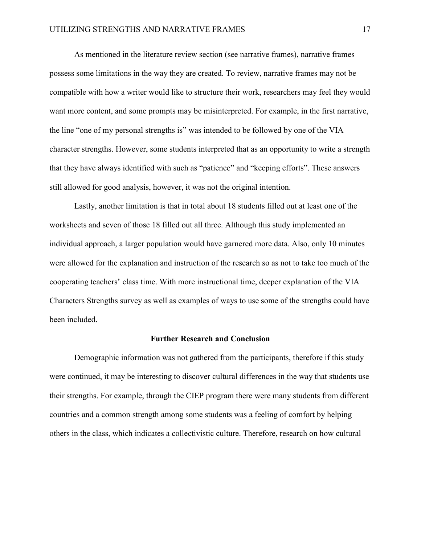As mentioned in the literature review section (see narrative frames), narrative frames possess some limitations in the way they are created. To review, narrative frames may not be compatible with how a writer would like to structure their work, researchers may feel they would want more content, and some prompts may be misinterpreted. For example, in the first narrative, the line "one of my personal strengths is" was intended to be followed by one of the VIA character strengths. However, some students interpreted that as an opportunity to write a strength that they have always identified with such as "patience" and "keeping efforts". These answers still allowed for good analysis, however, it was not the original intention.

Lastly, another limitation is that in total about 18 students filled out at least one of the worksheets and seven of those 18 filled out all three. Although this study implemented an individual approach, a larger population would have garnered more data. Also, only 10 minutes were allowed for the explanation and instruction of the research so as not to take too much of the cooperating teachers' class time. With more instructional time, deeper explanation of the VIA Characters Strengths survey as well as examples of ways to use some of the strengths could have been included.

#### **Further Research and Conclusion**

Demographic information was not gathered from the participants, therefore if this study were continued, it may be interesting to discover cultural differences in the way that students use their strengths. For example, through the CIEP program there were many students from different countries and a common strength among some students was a feeling of comfort by helping others in the class, which indicates a collectivistic culture. Therefore, research on how cultural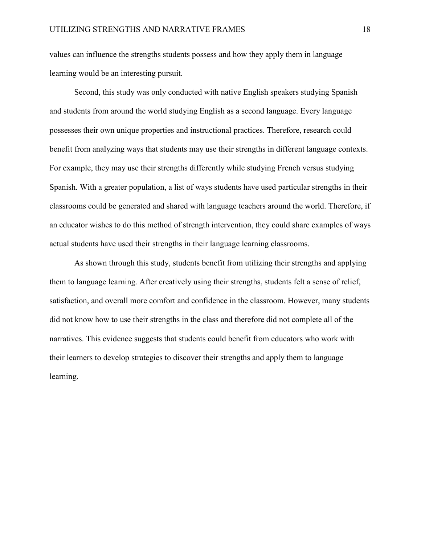values can influence the strengths students possess and how they apply them in language learning would be an interesting pursuit.

Second, this study was only conducted with native English speakers studying Spanish and students from around the world studying English as a second language. Every language possesses their own unique properties and instructional practices. Therefore, research could benefit from analyzing ways that students may use their strengths in different language contexts. For example, they may use their strengths differently while studying French versus studying Spanish. With a greater population, a list of ways students have used particular strengths in their classrooms could be generated and shared with language teachers around the world. Therefore, if an educator wishes to do this method of strength intervention, they could share examples of ways actual students have used their strengths in their language learning classrooms.

As shown through this study, students benefit from utilizing their strengths and applying them to language learning. After creatively using their strengths, students felt a sense of relief, satisfaction, and overall more comfort and confidence in the classroom. However, many students did not know how to use their strengths in the class and therefore did not complete all of the narratives. This evidence suggests that students could benefit from educators who work with their learners to develop strategies to discover their strengths and apply them to language learning.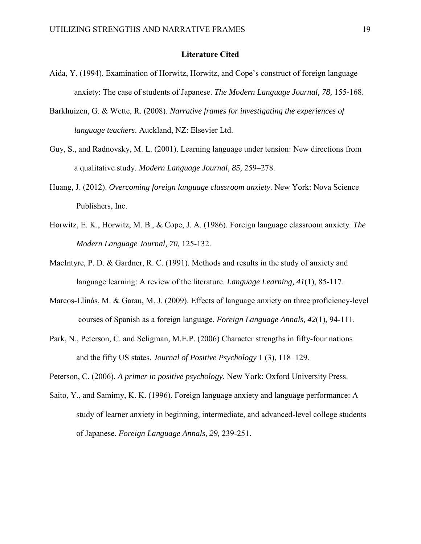#### **Literature Cited**

- Aida, Y. (1994). Examination of Horwitz, Horwitz, and Cope's construct of foreign language anxiety: The case of students of Japanese. *The Modern Language Journal, 78,* 155-168.
- Barkhuizen, G. & Wette, R. (2008). *Narrative frames for investigating the experiences of language teachers*. Auckland, NZ: Elsevier Ltd.
- Guy, S., and Radnovsky, M. L. (2001). Learning language under tension: New directions from a qualitative study. *Modern Language Journal, 85,* 259–278.
- Huang, J. (2012). *Overcoming foreign language classroom anxiety*. New York: Nova Science Publishers, Inc.
- Horwitz, E. K., Horwitz, M. B., & Cope, J. A. (1986). Foreign language classroom anxiety*. The Modern Language Journal, 70,* 125-132.
- MacIntyre, P. D. & Gardner, R. C. (1991). Methods and results in the study of anxiety and language learning: A review of the literature. *Language Learning, 41*(1), 85-117.
- Marcos-Llinás, M. & Garau, M. J. (2009). Effects of language anxiety on three proficiency-level courses of Spanish as a foreign language. *Foreign Language Annals, 42*(1), 94-111.
- Park, N., Peterson, C. and Seligman, M.E.P. (2006) Character strengths in fifty-four nations and the fifty US states. *Journal of Positive Psychology* 1 (3), 118–129.

Peterson, C. (2006). *A primer in positive psychology*. New York: Oxford University Press.

Saito, Y., and Samimy, K. K. (1996). Foreign language anxiety and language performance: A study of learner anxiety in beginning, intermediate, and advanced-level college students of Japanese. *Foreign Language Annals, 29,* 239-251.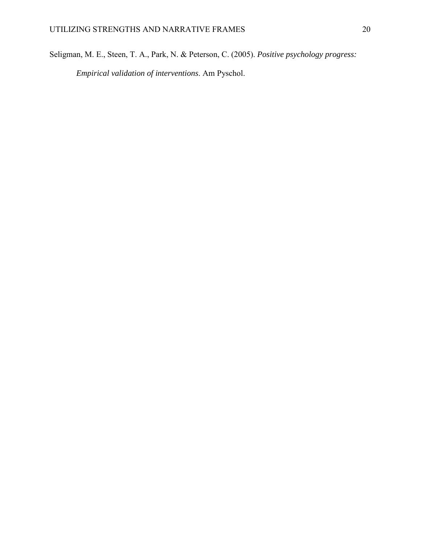Seligman, M. E., Steen, T. A., Park, N. & Peterson, C. (2005). *Positive psychology progress:*

*Empirical validation of interventions*. Am Pyschol.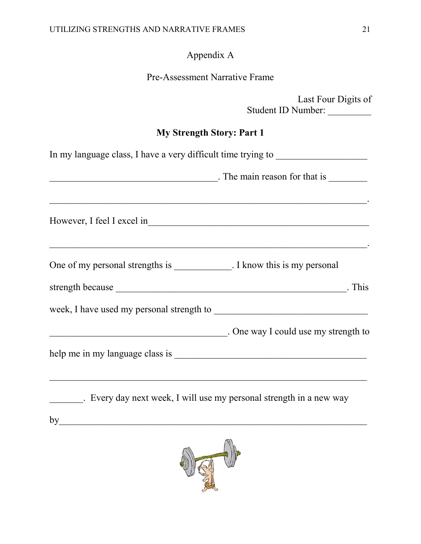# Appendix A

| <b>Pre-Assessment Narrative Frame</b> |
|---------------------------------------|
|                                       |

| Last Four Digits of<br>Student ID Number:                                |  |  |
|--------------------------------------------------------------------------|--|--|
| <b>My Strength Story: Part 1</b>                                         |  |  |
| In my language class, I have a very difficult time trying to             |  |  |
| $\frac{1}{2}$ . The main reason for that is $\frac{1}{2}$                |  |  |
|                                                                          |  |  |
| One of my personal strengths is ____________. I know this is my personal |  |  |
|                                                                          |  |  |
|                                                                          |  |  |
| . One way I could use my strength to                                     |  |  |
|                                                                          |  |  |
| . Every day next week, I will use my personal strength in a new way      |  |  |
| by                                                                       |  |  |

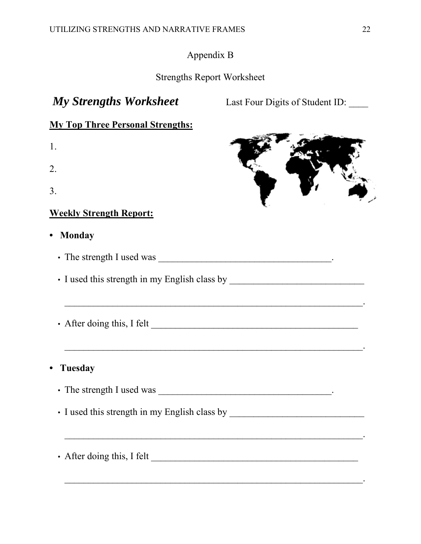## Appendix B

## Strengths Report Worksheet

# *My Strengths Worksheet* Last Four Digits of Student ID:

## **My Top Three Personal Strengths:**

- 1.
- 2.
- 3.

## **Weekly Strength Report:**

**• Monday**

• The strength I used was \_\_\_\_\_\_\_\_\_\_\_\_\_\_\_\_\_\_\_\_\_\_\_\_\_\_\_\_\_\_\_\_\_\_\_\_.

• I used this strength in my English class by \_\_\_\_\_\_\_\_\_\_\_\_\_\_\_\_\_\_\_\_\_\_\_\_\_\_\_\_

- After doing this, I felt \_\_\_\_\_\_\_\_\_\_\_\_\_\_\_\_\_\_\_\_\_\_\_\_\_\_\_\_\_\_\_\_\_\_\_\_\_\_\_\_\_\_\_
- **• Tuesday**

• The strength I used was \_\_\_\_\_\_\_\_\_\_\_\_\_\_\_\_\_\_\_\_\_\_\_\_\_\_\_\_\_\_\_\_\_\_\_\_.

• I used this strength in my English class by \_\_\_\_\_\_\_\_\_\_\_\_\_\_\_\_\_\_\_\_\_\_\_\_\_\_\_\_

\_\_\_\_\_\_\_\_\_\_\_\_\_\_\_\_\_\_\_\_\_\_\_\_\_\_\_\_\_\_\_\_\_\_\_\_\_\_\_\_\_\_\_\_\_\_\_\_\_\_\_\_\_\_\_\_\_\_\_\_\_\_.

\_\_\_\_\_\_\_\_\_\_\_\_\_\_\_\_\_\_\_\_\_\_\_\_\_\_\_\_\_\_\_\_\_\_\_\_\_\_\_\_\_\_\_\_\_\_\_\_\_\_\_\_\_\_\_\_\_\_\_\_\_\_.

 $\mathcal{L}_\text{max}$  and the contract of the contract of the contract of the contract of the contract of the contract of

\_\_\_\_\_\_\_\_\_\_\_\_\_\_\_\_\_\_\_\_\_\_\_\_\_\_\_\_\_\_\_\_\_\_\_\_\_\_\_\_\_\_\_\_\_\_\_\_\_\_\_\_\_\_\_\_\_\_\_\_\_\_.

• After doing this, I felt \_\_\_\_\_\_\_\_\_\_\_\_\_\_\_\_\_\_\_\_\_\_\_\_\_\_\_\_\_\_\_\_\_\_\_\_\_\_\_\_\_\_\_



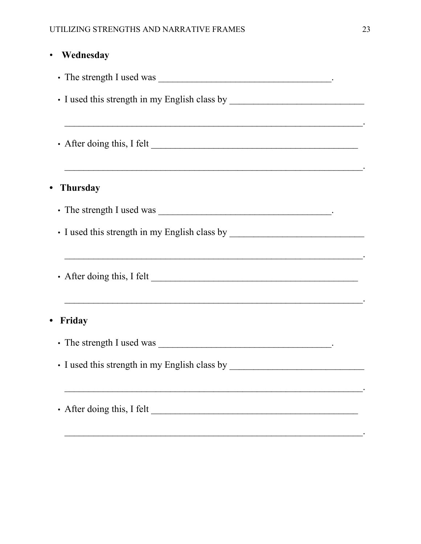| Wednesday                                                                                                             |
|-----------------------------------------------------------------------------------------------------------------------|
|                                                                                                                       |
|                                                                                                                       |
|                                                                                                                       |
|                                                                                                                       |
|                                                                                                                       |
| <b>Thursday</b>                                                                                                       |
|                                                                                                                       |
|                                                                                                                       |
|                                                                                                                       |
|                                                                                                                       |
| <u> 1990 - Johann Stoff, amerikan bestein de stad in de stad in de stad in de stad in de stad in de stad in de st</u> |
| Friday                                                                                                                |
|                                                                                                                       |
|                                                                                                                       |
| <u> 1989 - Johann Stoff, amerikansk politiker (d. 1989)</u>                                                           |
| • After doing this, I felt                                                                                            |
|                                                                                                                       |

 $\ddot{\phantom{a}}$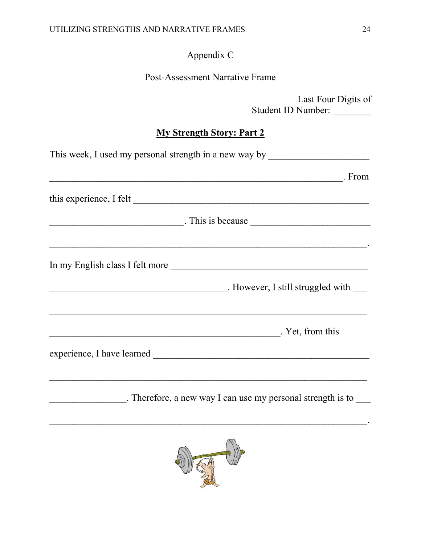# Appendix C

## Post-Assessment Narrative Frame

|                                  | Student ID Number: | Last Four Digits of |
|----------------------------------|--------------------|---------------------|
| <b>My Strength Story: Part 2</b> |                    |                     |

| This week, I used my personal strength in a new way by __________________________                                                                                                                                              |
|--------------------------------------------------------------------------------------------------------------------------------------------------------------------------------------------------------------------------------|
| From Figure 2014. The Contract of the Contract of the Contract of the Contract of the Contract of the Contract of the Contract of the Contract of the Contract of the Contract of the Contract of the Contract of the Contract |
| this experience, I felt                                                                                                                                                                                                        |
|                                                                                                                                                                                                                                |
| In my English class I felt more                                                                                                                                                                                                |
|                                                                                                                                                                                                                                |
| <u> 2008 - 2008 - 2008 - 2008 - 2008 - 2008 - 2008 - 2008 - 2008 - 2008 - 2008 - 2008 - 2008 - 2008 - 2008 - 200</u><br>. Yet, from this                                                                                       |
|                                                                                                                                                                                                                                |
|                                                                                                                                                                                                                                |
|                                                                                                                                                                                                                                |

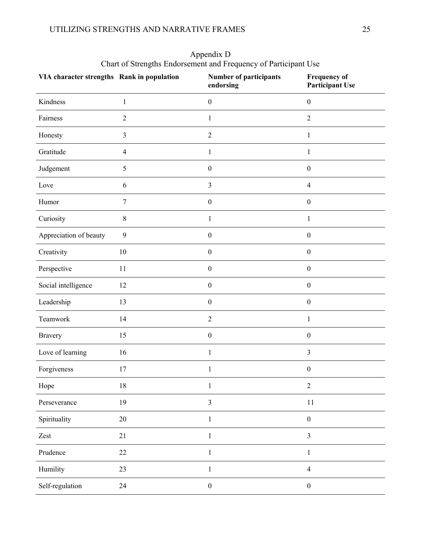| VIA character strengths Rank in population |                | <b>Number of participants</b><br>endorsing | <b>Frequency of</b><br><b>Participant Use</b> |
|--------------------------------------------|----------------|--------------------------------------------|-----------------------------------------------|
| Kindness                                   | $\mathbf{1}$   | $\boldsymbol{0}$                           | $\boldsymbol{0}$                              |
| Fairness                                   | $\sqrt{2}$     | $\mathbf{1}$                               | $\overline{2}$                                |
| Honesty                                    | $\mathfrak{Z}$ | $\overline{2}$                             | $\mathbf{1}$                                  |
| Gratitude                                  | $\overline{4}$ | $\mathbf{1}$                               | $\,1$                                         |
| Judgement                                  | 5              | $\boldsymbol{0}$                           | $\boldsymbol{0}$                              |
| Love                                       | 6              | $\mathfrak{Z}$                             | $\overline{4}$                                |
| Humor                                      | $\tau$         | $\boldsymbol{0}$                           | $\boldsymbol{0}$                              |
| Curiosity                                  | $\,8\,$        | $\mathbf{1}$                               | $\mathbf 1$                                   |
| Appreciation of beauty                     | 9              | $\boldsymbol{0}$                           | $\boldsymbol{0}$                              |
| Creativity                                 | 10             | $\boldsymbol{0}$                           | $\boldsymbol{0}$                              |
| Perspective                                | 11             | $\boldsymbol{0}$                           | $\boldsymbol{0}$                              |
| Social intelligence                        | 12             | $\boldsymbol{0}$                           | $\boldsymbol{0}$                              |
| Leadership                                 | 13             | $\boldsymbol{0}$                           | $\boldsymbol{0}$                              |
| Teamwork                                   | 14             | $\overline{2}$                             | $\mathbf{1}$                                  |
| <b>Bravery</b>                             | 15             | $\boldsymbol{0}$                           | $\boldsymbol{0}$                              |
| Love of learning                           | 16             | $\mathbf{1}$                               | $\mathfrak{Z}$                                |
| Forgiveness                                | 17             | 1                                          | $\boldsymbol{0}$                              |
| Hope                                       | $18\,$         | 1                                          | $\boldsymbol{2}$                              |
| Perseverance                               | 19             | $\mathfrak{Z}$                             | 11                                            |
| Spirituality                               | 20             | $\mathbf{1}$                               | $\boldsymbol{0}$                              |
| Zest                                       | 21             | $\mathbf{1}$                               | $\overline{\mathbf{3}}$                       |
| Prudence                                   | $22\,$         | $\mathbf{1}$                               | $\mathbf{1}$                                  |
| Humility                                   | 23             | $\mathbf{1}$                               | $\overline{4}$                                |
| Self-regulation                            | 24             | $\boldsymbol{0}$                           | $\boldsymbol{0}$                              |

Appendix D Chart of Strengths Endorsement and Frequency of Participant Use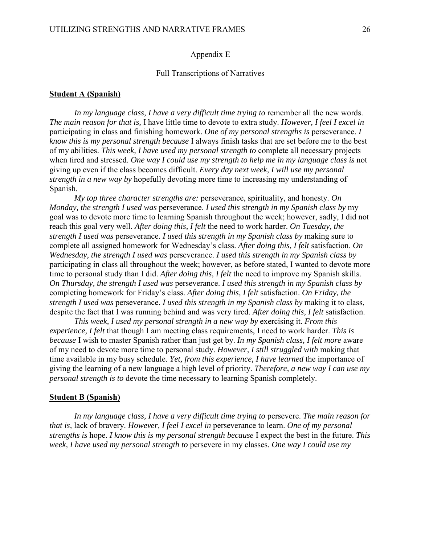#### Appendix E

#### Full Transcriptions of Narratives

#### **Student A (Spanish)**

*In my language class, I have a very difficult time trying to* remember all the new words. *The main reason for that is,* I have little time to devote to extra study. *However, I feel I excel in* participating in class and finishing homework. *One of my personal strengths is* perseverance. *I know this is my personal strength because* I always finish tasks that are set before me to the best of my abilities. *This week, I have used my personal strength to* complete all necessary projects when tired and stressed. *One way I could use my strength to help me in my language class is* not giving up even if the class becomes difficult. *Every day next week, I will use my personal strength in a new way by* hopefully devoting more time to increasing my understanding of Spanish.

*My top three character strengths are:* perseverance, spirituality, and honesty. *On Monday, the strength I used was* perseverance. *I used this strength in my Spanish class by* my goal was to devote more time to learning Spanish throughout the week; however, sadly, I did not reach this goal very well. *After doing this, I felt* the need to work harder. *On Tuesday, the strength I used was* perseverance. *I used this strength in my Spanish class by* making sure to complete all assigned homework for Wednesday's class. *After doing this, I felt* satisfaction. *On Wednesday, the strength I used was* perseverance. *I used this strength in my Spanish class by* participating in class all throughout the week; however, as before stated, I wanted to devote more time to personal study than I did. *After doing this, I felt* the need to improve my Spanish skills. *On Thursday, the strength I used was* perseverance. *I used this strength in my Spanish class by* completing homework for Friday's class. *After doing this, I felt* satisfaction. *On Friday, the strength I used was* perseverance. *I used this strength in my Spanish class by* making it to class, despite the fact that I was running behind and was very tired. *After doing this, I felt* satisfaction.

*This week, I used my personal strength in a new way by* exercising it. *From this experience, I felt* that though I am meeting class requirements, I need to work harder. *This is because* I wish to master Spanish rather than just get by. *In my Spanish class, I felt more* aware of my need to devote more time to personal study. *However, I still struggled with* making that time available in my busy schedule. *Yet, from this experience, I have learned* the importance of giving the learning of a new language a high level of priority. *Therefore, a new way I can use my personal strength is to* devote the time necessary to learning Spanish completely.

#### **Student B (Spanish)**

*In my language class, I have a very difficult time trying to* persevere. *The main reason for that is,* lack of bravery. *However, I feel I excel in* perseverance to learn. *One of my personal strengths is* hope. *I know this is my personal strength because* I expect the best in the future. *This week, I have used my personal strength to* persevere in my classes. *One way I could use my*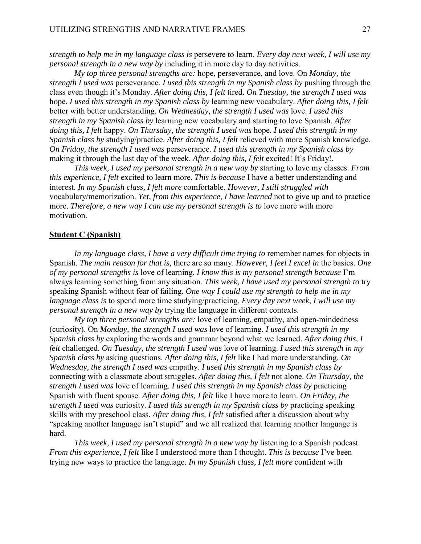*strength to help me in my language class is* persevere to learn. *Every day next week, I will use my personal strength in a new way by* including it in more day to day activities.

*My top three personal strengths are:* hope, perseverance, and love. On *Monday, the strength I used was* perseverance. *I used this strength in my Spanish class by* pushing through the class even though it's Monday. *After doing this, I felt* tired. *On Tuesday, the strength I used was* hope. *I used this strength in my Spanish class by* learning new vocabulary. *After doing this, I felt* better with better understanding. *On Wednesday, the strength I used was* love. *I used this strength in my Spanish class by* learning new vocabulary and starting to love Spanish. *After doing this, I felt* happy. *On Thursday, the strength I used was* hope. *I used this strength in my Spanish class by* studying/practice. *After doing this, I felt* relieved with more Spanish knowledge. *On Friday, the strength I used was* perseverance. *I used this strength in my Spanish class by* making it through the last day of the week. *After doing this, I felt* excited! It's Friday!.

*This week, I used my personal strength in a new way by* starting to love my classes. *From this experience, I felt* excited to learn more. *This is because* I have a better understanding and interest. *In my Spanish class, I felt more* comfortable. *However, I still struggled with* vocabulary/memorization. *Yet, from this experience, I have learned* not to give up and to practice more. *Therefore, a new way I can use my personal strength is to* love more with more motivation.

#### **Student C (Spanish)**

*In my language class, I have a very difficult time trying to* remember names for objects in Spanish. *The main reason for that is,* there are so many. *However, I feel I excel in* the basics. *One of my personal strengths is* love of learning. *I know this is my personal strength because* I'm always learning something from any situation. *This week, I have used my personal strength to* try speaking Spanish without fear of failing. *One way I could use my strength to help me in my language class is* to spend more time studying/practicing. *Every day next week, I will use my personal strength in a new way by* trying the language in different contexts.

*My top three personal strengths are:* love of learning, empathy, and open-mindedness (curiosity). On *Monday, the strength I used was* love of learning. *I used this strength in my Spanish class by* exploring the words and grammar beyond what we learned. *After doing this, I felt* challenged. *On Tuesday, the strength I used was* love of learning. *I used this strength in my Spanish class by* asking questions. *After doing this, I felt* like I had more understanding. *On Wednesday, the strength I used was* empathy. *I used this strength in my Spanish class by* connecting with a classmate about struggles. *After doing this, I felt* not alone. *On Thursday, the strength I used was* love of learning. *I used this strength in my Spanish class by* practicing Spanish with fluent spouse. *After doing this, I felt* like I have more to learn. *On Friday, the strength I used was* curiosity. *I used this strength in my Spanish class by* practicing speaking skills with my preschool class. *After doing this, I felt* satisfied after a discussion about why "speaking another language isn't stupid" and we all realized that learning another language is hard.

*This week, I used my personal strength in a new way by* listening to a Spanish podcast. *From this experience, I felt* like I understood more than I thought. *This is because* I've been trying new ways to practice the language. *In my Spanish class, I felt more* confident with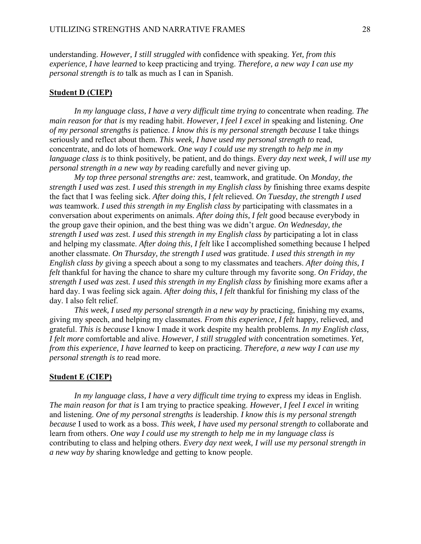understanding. *However, I still struggled with* confidence with speaking. *Yet, from this experience, I have learned* to keep practicing and trying. *Therefore, a new way I can use my personal strength is to* talk as much as I can in Spanish.

#### **Student D (CIEP)**

*In my language class, I have a very difficult time trying to* concentrate when reading. *The main reason for that is* my reading habit. *However, I feel I excel in* speaking and listening. *One of my personal strengths is* patience. *I know this is my personal strength because* I take things seriously and reflect about them. *This week, I have used my personal strength to* read, concentrate, and do lots of homework. *One way I could use my strength to help me in my language class is* to think positively, be patient, and do things. *Every day next week, I will use my personal strength in a new way by* reading carefully and never giving up.

*My top three personal strengths are:* zest, teamwork, and gratitude. On *Monday, the strength I used was* zest. *I used this strength in my English class by* finishing three exams despite the fact that I was feeling sick. *After doing this, I felt* relieved. *On Tuesday, the strength I used was* teamwork. *I used this strength in my English class by* participating with classmates in a conversation about experiments on animals. *After doing this, I felt* good because everybody in the group gave their opinion, and the best thing was we didn't argue. *On Wednesday, the strength I used was* zest. *I used this strength in my English class by* participating a lot in class and helping my classmate. *After doing this, I felt* like I accomplished something because I helped another classmate. *On Thursday, the strength I used was* gratitude. *I used this strength in my English class by* giving a speech about a song to my classmates and teachers. *After doing this, I felt* thankful for having the chance to share my culture through my favorite song. *On Friday, the strength I used was* zest. *I used this strength in my English class by* finishing more exams after a hard day. I was feeling sick again. *After doing this, I felt* thankful for finishing my class of the day. I also felt relief.

*This week, I used my personal strength in a new way by* practicing, finishing my exams, giving my speech, and helping my classmates. *From this experience, I felt* happy, relieved, and grateful. *This is because* I know I made it work despite my health problems. *In my English class, I felt more* comfortable and alive. *However, I still struggled with* concentration sometimes. *Yet, from this experience, I have learned* to keep on practicing. *Therefore, a new way I can use my personal strength is to* read more.

#### **Student E (CIEP)**

*In my language class, I have a very difficult time trying to* express my ideas in English. *The main reason for that is* I am trying to practice speaking. *However, I feel I excel in* writing and listening. *One of my personal strengths is* leadership. *I know this is my personal strength because* I used to work as a boss. *This week, I have used my personal strength to* collaborate and learn from others. *One way I could use my strength to help me in my language class is* contributing to class and helping others. *Every day next week, I will use my personal strength in a new way by* sharing knowledge and getting to know people.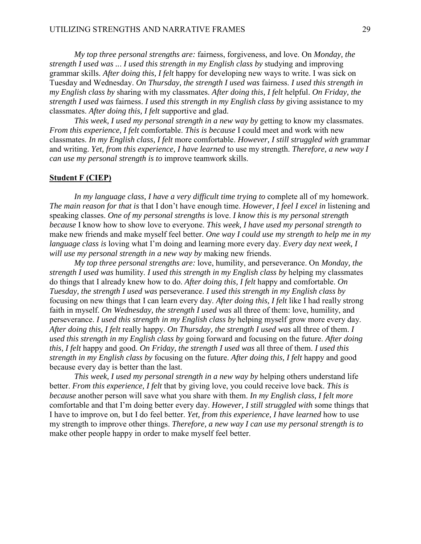*My top three personal strengths are:* fairness, forgiveness, and love. On *Monday, the strength I used was ..*. *I used this strength in my English class by* studying and improving grammar skills. *After doing this, I felt* happy for developing new ways to write. I was sick on Tuesday and Wednesday. *On Thursday, the strength I used was* fairness. *I used this strength in my English class by* sharing with my classmates. *After doing this, I felt* helpful. *On Friday, the strength I used was* fairness. *I used this strength in my English class by* giving assistance to my classmates. *After doing this, I felt* supportive and glad.

*This week, I used my personal strength in a new way by* getting to know my classmates. *From this experience, I felt* comfortable. *This is because* I could meet and work with new classmates. *In my English class, I felt* more comfortable. *However, I still struggled with* grammar and writing. *Yet, from this experience, I have learned* to use my strength. *Therefore, a new way I can use my personal strength is to* improve teamwork skills.

#### **Student F (CIEP)**

*In my language class, I have a very difficult time trying to* complete all of my homework. *The main reason for that is* that I don't have enough time. *However, I feel I excel in* listening and speaking classes. *One of my personal strengths is* love. *I know this is my personal strength because* I know how to show love to everyone. *This week, I have used my personal strength to* make new friends and make myself feel better. *One way I could use my strength to help me in my language class is* loving what I'm doing and learning more every day. *Every day next week, I will use my personal strength in a new way by* making new friends.

*My top three personal strengths are:* love, humility, and perseverance. On *Monday, the strength I used was* humility. *I used this strength in my English class by* helping my classmates do things that I already knew how to do. *After doing this, I felt* happy and comfortable. *On Tuesday, the strength I used was* perseverance. *I used this strength in my English class by* focusing on new things that I can learn every day. *After doing this, I felt* like I had really strong faith in myself. *On Wednesday, the strength I used was* all three of them: love, humility, and perseverance. *I used this strength in my English class by* helping myself grow more every day. *After doing this, I felt* really happy. *On Thursday, the strength I used was* all three of them. *I used this strength in my English class by* going forward and focusing on the future. *After doing this, I felt* happy and good. *On Friday, the strength I used was* all three of them. *I used this strength in my English class by* focusing on the future. *After doing this, I felt* happy and good because every day is better than the last.

*This week, I used my personal strength in a new way by* helping others understand life better. *From this experience, I felt* that by giving love, you could receive love back. *This is because* another person will save what you share with them. *In my English class, I felt more* comfortable and that I'm doing better every day. *However, I still struggled with* some things that I have to improve on, but I do feel better. *Yet, from this experience, I have learned* how to use my strength to improve other things. *Therefore, a new way I can use my personal strength is to* make other people happy in order to make myself feel better.